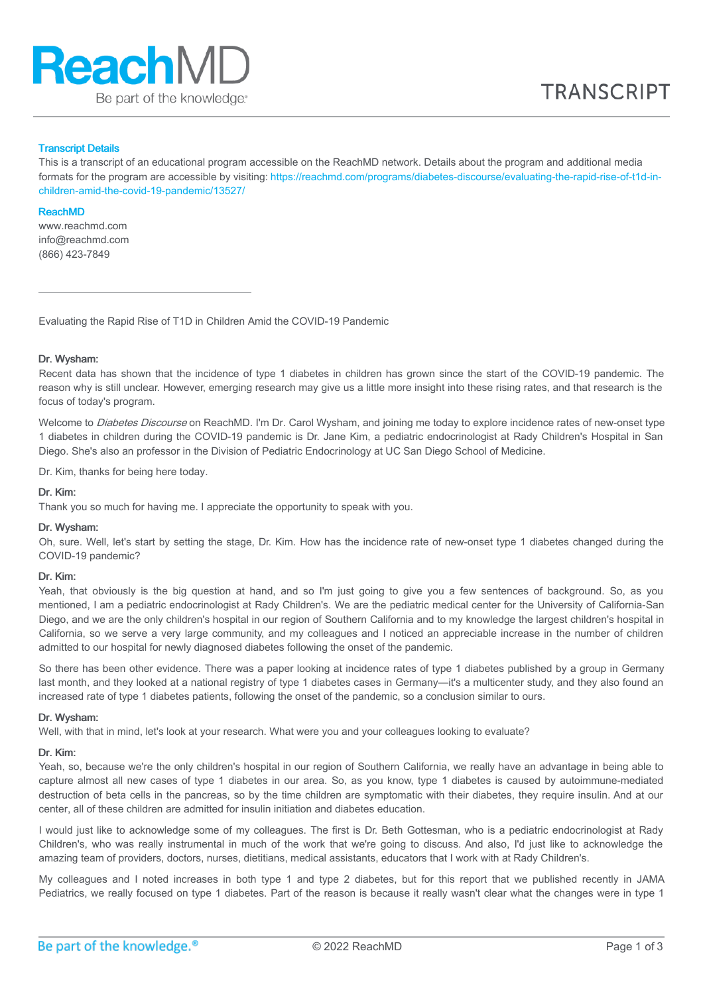

#### Transcript Details

This is a transcript of an educational program accessible on the ReachMD network. Details about the program and additional media formats for the program are accessible by visiting: [https://reachmd.com/programs/diabetes-discourse/evaluating-the-rapid-rise-of-t1d-in](https://reachmd.com/programs/diabetes-discourse/evaluating-the-rapid-rise-of-t1d-in-children-amid-the-covid-19-pandemic/13527/)children-amid-the-covid-19-pandemic/13527/

#### ReachMD

www.reachmd.com info@reachmd.com (866) 423-7849

Evaluating the Rapid Rise of T1D in Children Amid the COVID-19 Pandemic

### Dr. Wysham:

Recent data has shown that the incidence of type 1 diabetes in children has grown since the start of the COVID-19 pandemic. The reason why is still unclear. However, emerging research may give us a little more insight into these rising rates, and that research is the focus of today's program.

Welcome to Diabetes Discourse on ReachMD. I'm Dr. Carol Wysham, and joining me today to explore incidence rates of new-onset type 1 diabetes in children during the COVID-19 pandemic is Dr. Jane Kim, a pediatric endocrinologist at Rady Children's Hospital in San Diego. She's also an professor in the Division of Pediatric Endocrinology at UC San Diego School of Medicine.

Dr. Kim, thanks for being here today.

## Dr. Kim:

Thank you so much for having me. I appreciate the opportunity to speak with you.

#### Dr. Wysham:

Oh, sure. Well, let's start by setting the stage, Dr. Kim. How has the incidence rate of new-onset type 1 diabetes changed during the COVID-19 pandemic?

### Dr. Kim:

Yeah, that obviously is the big question at hand, and so I'm just going to give you a few sentences of background. So, as you mentioned, I am a pediatric endocrinologist at Rady Children's. We are the pediatric medical center for the University of California-San Diego, and we are the only children's hospital in our region of Southern California and to my knowledge the largest children's hospital in California, so we serve a very large community, and my colleagues and I noticed an appreciable increase in the number of children admitted to our hospital for newly diagnosed diabetes following the onset of the pandemic.

So there has been other evidence. There was a paper looking at incidence rates of type 1 diabetes published by a group in Germany last month, and they looked at a national registry of type 1 diabetes cases in Germany—it's a multicenter study, and they also found an increased rate of type 1 diabetes patients, following the onset of the pandemic, so a conclusion similar to ours.

#### Dr. Wysham:

Well, with that in mind, let's look at your research. What were you and your colleagues looking to evaluate?

#### Dr. Kim:

Yeah, so, because we're the only children's hospital in our region of Southern California, we really have an advantage in being able to capture almost all new cases of type 1 diabetes in our area. So, as you know, type 1 diabetes is caused by autoimmune-mediated destruction of beta cells in the pancreas, so by the time children are symptomatic with their diabetes, they require insulin. And at our center, all of these children are admitted for insulin initiation and diabetes education.

I would just like to acknowledge some of my colleagues. The first is Dr. Beth Gottesman, who is a pediatric endocrinologist at Rady Children's, who was really instrumental in much of the work that we're going to discuss. And also, I'd just like to acknowledge the amazing team of providers, doctors, nurses, dietitians, medical assistants, educators that I work with at Rady Children's.

My colleagues and I noted increases in both type 1 and type 2 diabetes, but for this report that we published recently in JAMA Pediatrics, we really focused on type 1 diabetes. Part of the reason is because it really wasn't clear what the changes were in type 1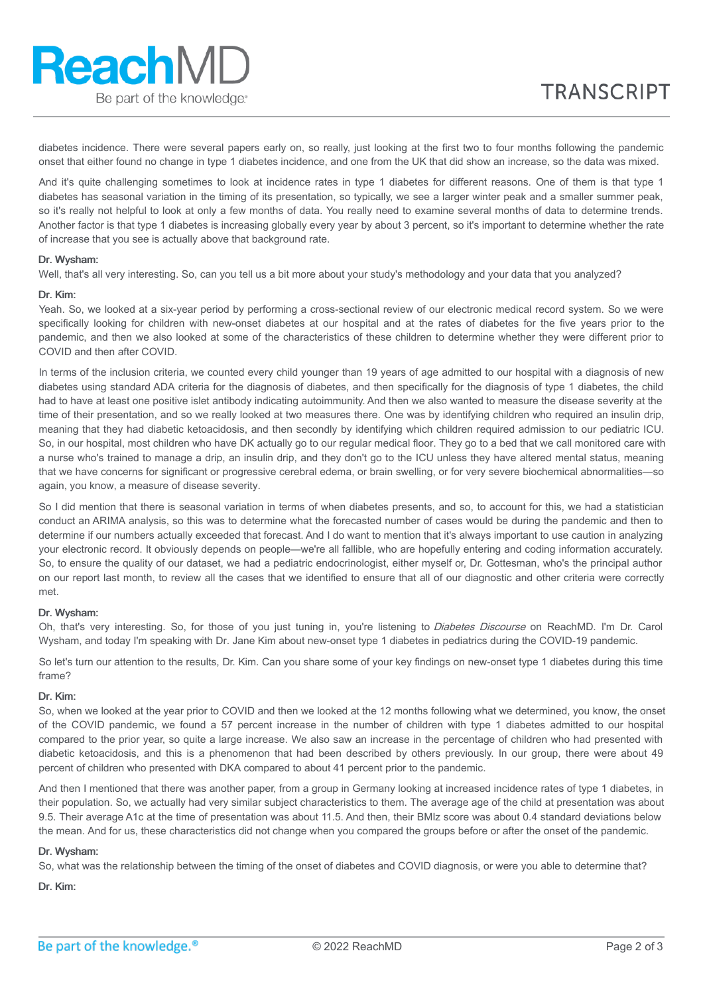diabetes incidence. There were several papers early on, so really, just looking at the first two to four months following the pandemic onset that either found no change in type 1 diabetes incidence, and one from the UK that did show an increase, so the data was mixed.

And it's quite challenging sometimes to look at incidence rates in type 1 diabetes for different reasons. One of them is that type 1 diabetes has seasonal variation in the timing of its presentation, so typically, we see a larger winter peak and a smaller summer peak, so it's really not helpful to look at only a few months of data. You really need to examine several months of data to determine trends. Another factor is that type 1 diabetes is increasing globally every year by about 3 percent, so it's important to determine whether the rate of increase that you see is actually above that background rate.

## Dr. Wysham:

**ReachMD** 

Be part of the knowledge®

Well, that's all very interesting. So, can you tell us a bit more about your study's methodology and your data that you analyzed?

#### Dr. Kim:

Yeah. So, we looked at a six-year period by performing a cross-sectional review of our electronic medical record system. So we were specifically looking for children with new-onset diabetes at our hospital and at the rates of diabetes for the five years prior to the pandemic, and then we also looked at some of the characteristics of these children to determine whether they were different prior to COVID and then after COVID.

In terms of the inclusion criteria, we counted every child younger than 19 years of age admitted to our hospital with a diagnosis of new diabetes using standard ADA criteria for the diagnosis of diabetes, and then specifically for the diagnosis of type 1 diabetes, the child had to have at least one positive islet antibody indicating autoimmunity. And then we also wanted to measure the disease severity at the time of their presentation, and so we really looked at two measures there. One was by identifying children who required an insulin drip, meaning that they had diabetic ketoacidosis, and then secondly by identifying which children required admission to our pediatric ICU. So, in our hospital, most children who have DK actually go to our regular medical floor. They go to a bed that we call monitored care with a nurse who's trained to manage a drip, an insulin drip, and they don't go to the ICU unless they have altered mental status, meaning that we have concerns for significant or progressive cerebral edema, or brain swelling, or for very severe biochemical abnormalities—so again, you know, a measure of disease severity.

So I did mention that there is seasonal variation in terms of when diabetes presents, and so, to account for this, we had a statistician conduct an ARIMA analysis, so this was to determine what the forecasted number of cases would be during the pandemic and then to determine if our numbers actually exceeded that forecast. And I do want to mention that it's always important to use caution in analyzing your electronic record. It obviously depends on people—we're all fallible, who are hopefully entering and coding information accurately. So, to ensure the quality of our dataset, we had a pediatric endocrinologist, either myself or, Dr. Gottesman, who's the principal author on our report last month, to review all the cases that we identified to ensure that all of our diagnostic and other criteria were correctly met.

## Dr. Wysham:

Oh, that's very interesting. So, for those of you just tuning in, you're listening to Diabetes Discourse on ReachMD. I'm Dr. Carol Wysham, and today I'm speaking with Dr. Jane Kim about new-onset type 1 diabetes in pediatrics during the COVID-19 pandemic.

So let's turn our attention to the results, Dr. Kim. Can you share some of your key findings on new-onset type 1 diabetes during this time frame?

## Dr. Kim:

So, when we looked at the year prior to COVID and then we looked at the 12 months following what we determined, you know, the onset of the COVID pandemic, we found a 57 percent increase in the number of children with type 1 diabetes admitted to our hospital compared to the prior year, so quite a large increase. We also saw an increase in the percentage of children who had presented with diabetic ketoacidosis, and this is a phenomenon that had been described by others previously. In our group, there were about 49 percent of children who presented with DKA compared to about 41 percent prior to the pandemic.

And then I mentioned that there was another paper, from a group in Germany looking at increased incidence rates of type 1 diabetes, in their population. So, we actually had very similar subject characteristics to them. The average age of the child at presentation was about 9.5. Their average A1c at the time of presentation was about 11.5. And then, their BMIz score was about 0.4 standard deviations below the mean. And for us, these characteristics did not change when you compared the groups before or after the onset of the pandemic.

#### Dr. Wysham:

So, what was the relationship between the timing of the onset of diabetes and COVID diagnosis, or were you able to determine that?

Dr. Kim: